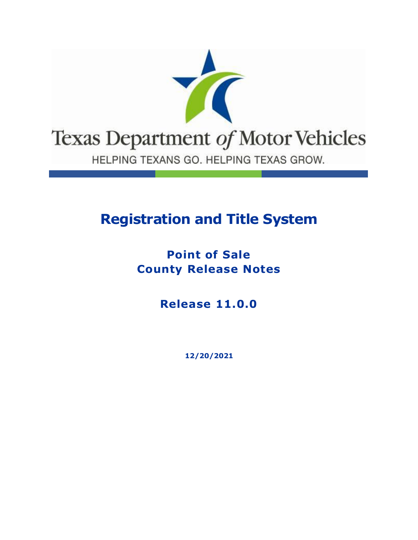

# **Registration and Title System**

### **Point of Sale County Release Notes**

**Release 11.0.0**

**12/20/2021**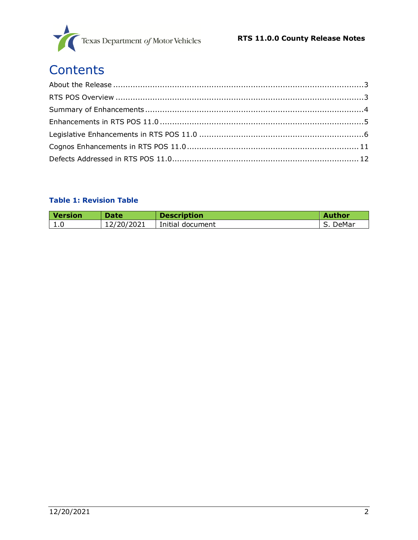

# **Contents**

### **Table 1: Revision Table**

| <b>Version</b> | <b>Date</b>      | <b>Description</b> | <b>Author</b> |
|----------------|------------------|--------------------|---------------|
| <b>L.U</b>     | 2/20/2021<br>⊥∠/ | Initial document   | DeMar         |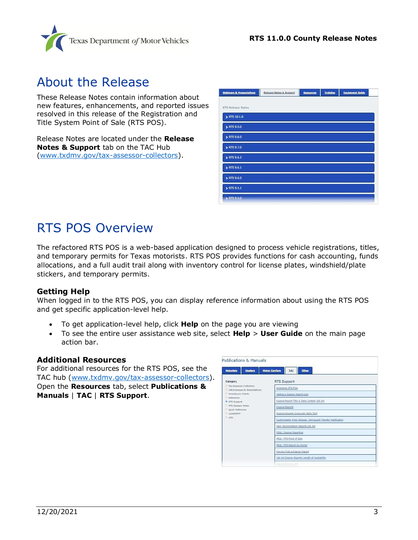

### <span id="page-2-0"></span>About the Release

These Release Notes contain information about new features, enhancements, and reported issues resolved in this release of the Registration and Title System Point of Sale (RTS POS).

Release Notes are located under the **Release Notes & Support** tab on the TAC Hub [\(www.txdmv.gov/tax-assessor-collectors\)](http://www.txdmv.gov/tax-assessor-collectors).

| <b>Webinars &amp; Presentations</b> | Release Notes & Support | Resources | <b>Training</b> | <b>Equipment Guide</b> |  |
|-------------------------------------|-------------------------|-----------|-----------------|------------------------|--|
|                                     |                         |           |                 |                        |  |
| RTS Release Notes                   |                         |           |                 |                        |  |
| > RTS 10.1.0                        |                         |           |                 |                        |  |
| > RTS 9.9.0                         |                         |           |                 |                        |  |
| > RTS 9.8.0                         |                         |           |                 |                        |  |
| > RTS 9.7.0                         |                         |           |                 |                        |  |
| $\triangleright$ RTS 9.6.2          |                         |           |                 |                        |  |
| RTS 9.6.1                           |                         |           |                 |                        |  |
| > RTS 9.6.0                         |                         |           |                 |                        |  |
| > RTS 9.5.1                         |                         |           |                 |                        |  |
| > RTS 9.5.0                         |                         |           |                 |                        |  |

### <span id="page-2-1"></span>RTS POS Overview

The refactored RTS POS is a web-based application designed to process vehicle registrations, titles, and temporary permits for Texas motorists. RTS POS provides functions for cash accounting, funds allocations, and a full audit trail along with inventory control for license plates, windshield/plate stickers, and temporary permits.

### **Getting Help**

When logged in to the RTS POS, you can display reference information about using the RTS POS and get specific application-level help.

- To get application-level help, click **Help** on the page you are viewing
- To see the entire user assistance web site, select **Help** > **User Guide** on the main page action bar.

### **Additional Resources**

For additional resources for the RTS POS, see the TAC hub [\(www.txdmv.gov/tax-assessor-collectors\)](http://www.txdmv.gov/tax-assessor-collectors). Open the **Resources** tab, select **Publications & Manuals** | **TAC** | **RTS Support**.

| <b>Publications &amp; Manuals</b>                            |                                                              |
|--------------------------------------------------------------|--------------------------------------------------------------|
| Dealers<br><b>Motorists</b>                                  | <b>Motor Carriers</b><br>TAC.<br>Other                       |
| Category                                                     | RTS Support                                                  |
| D. Tax Assessor-Collectors<br>D InfoXchanges & Presentations | Accessing DTA Files                                          |
| D. Foreclosure Charts<br>D. Reference                        | Adding a Cognos Report User                                  |
| RTS Support                                                  | Cognos Report Title & Data Content Job Aid                   |
| D. RTS Release Notes                                         | Cognos Reports                                               |
| <sup>D</sup> Duick Reference<br>D. webAGENT                  | Cognos Reports Crosswalk Table Tent                          |
| $D$ LMS                                                      | Customizable Press Release: Delinquent Transfer Notification |
|                                                              | Daily Reconciliation Reports Job Aid                         |
|                                                              | FAQs: Cognos Reporting                                       |
|                                                              | FAQs: RTS Point of Sale                                      |
|                                                              | FAQs: RTS Search by Owner                                    |
|                                                              | How to Print a Cognos Report                                 |
|                                                              | Job Aid Cognos Reports Length of Availability                |
|                                                              | lion died Privation 2019                                     |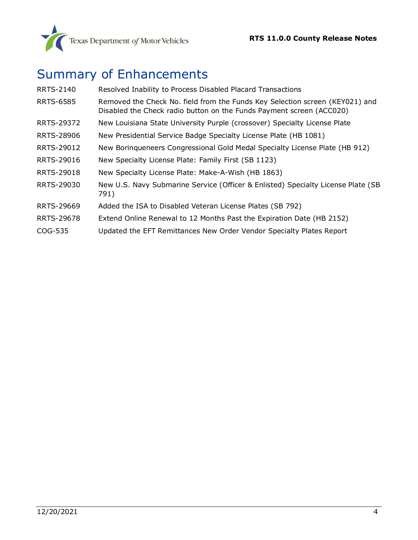

## <span id="page-3-0"></span>Summary of Enhancements

| <b>RRTS-2140</b> | Resolved Inability to Process Disabled Placard Transactions                                                                                          |
|------------------|------------------------------------------------------------------------------------------------------------------------------------------------------|
| <b>RRTS-6585</b> | Removed the Check No. field from the Funds Key Selection screen (KEY021) and<br>Disabled the Check radio button on the Funds Payment screen (ACC020) |
| RRTS-29372       | New Louisiana State University Purple (crossover) Specialty License Plate                                                                            |
| RRTS-28906       | New Presidential Service Badge Specialty License Plate (HB 1081)                                                                                     |
| RRTS-29012       | New Boringueneers Congressional Gold Medal Specialty License Plate (HB 912)                                                                          |
| RRTS-29016       | New Specialty License Plate: Family First (SB 1123)                                                                                                  |
| RRTS-29018       | New Specialty License Plate: Make-A-Wish (HB 1863)                                                                                                   |
| RRTS-29030       | New U.S. Navy Submarine Service (Officer & Enlisted) Specialty License Plate (SB<br>791)                                                             |
| RRTS-29669       | Added the ISA to Disabled Veteran License Plates (SB 792)                                                                                            |
| RRTS-29678       | Extend Online Renewal to 12 Months Past the Expiration Date (HB 2152)                                                                                |
| COG-535          | Updated the EFT Remittances New Order Vendor Specialty Plates Report                                                                                 |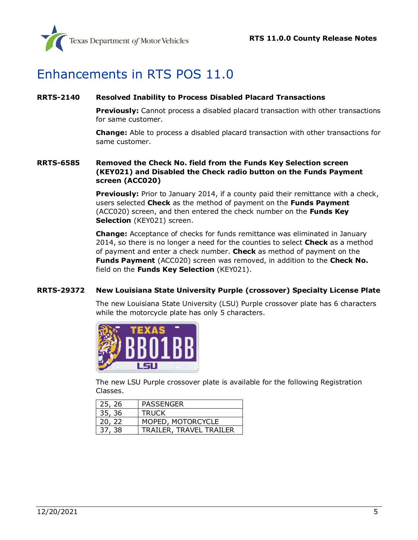

### <span id="page-4-0"></span>Enhancements in RTS POS 11.0

### <span id="page-4-1"></span>**[RRTS-2140](https://jira.txdmv.gov/browse/RRTS-2140) Resolved Inability to Process Disabled Placard Transactions**

**Previously:** Cannot process a disabled placard transaction with other transactions for same customer.

**Change:** Able to process a disabled placard transaction with other transactions for same customer.

### <span id="page-4-2"></span>**RRTS-6585 Removed the Check No. field from the Funds Key Selection screen (KEY021) and Disabled the Check radio button on the Funds Payment screen (ACC020)**

**Previously:** Prior to January 2014, if a county paid their remittance with a check, users selected **Check** as the method of payment on the **Funds Payment** (ACC020) screen, and then entered the check number on the **Funds Key Selection** (KEY021) screen.

**Change:** Acceptance of checks for funds remittance was eliminated in January 2014, so there is no longer a need for the counties to select **Check** as a method of payment and enter a check number. **Check** as method of payment on the **Funds Payment** (ACC020) screen was removed, in addition to the **Check No.** field on the **Funds Key Selection** (KEY021).

### <span id="page-4-3"></span>**RRTS-29372 New Louisiana State University Purple (crossover) Specialty License Plate**

The new Louisiana State University (LSU) Purple crossover plate has 6 characters while the motorcycle plate has only 5 characters.



The new LSU Purple crossover plate is available for the following Registration Classes.

| 25, 26 | PASSENGER               |
|--------|-------------------------|
| 35, 36 | <b>TRUCK</b>            |
| 20, 22 | MOPED, MOTORCYCLE       |
| 37, 38 | TRAILER, TRAVEL TRAILER |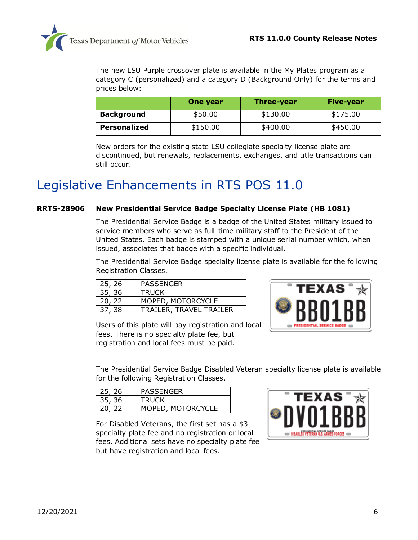

The new LSU Purple crossover plate is available in the My Plates program as a category C (personalized) and a category D (Background Only) for the terms and prices below:

|                   | One year | Three-year | <b>Five-year</b> |
|-------------------|----------|------------|------------------|
| <b>Background</b> | \$50.00  | \$130.00   | \$175.00         |
| Personalized      | \$150.00 | \$400.00   | \$450.00         |

New orders for the existing state LSU collegiate specialty license plate are discontinued, but renewals, replacements, exchanges, and title transactions can still occur.

### <span id="page-5-0"></span>Legislative Enhancements in RTS POS 11.0

#### <span id="page-5-1"></span>**RRTS-28906 New Presidential Service Badge Specialty License Plate (HB 1081)**

The Presidential Service Badge is a badge of the United States military issued to service members who serve as full-time military staff to the President of the United States. Each badge is stamped with a unique serial number which, when issued, associates that badge with a specific individual.

The Presidential Service Badge specialty license plate is available for the following Registration Classes.

| 25, 26 | PASSENGER                      |
|--------|--------------------------------|
| 35, 36 | <b>TRUCK</b>                   |
| 20, 22 | MOPED, MOTORCYCLE              |
| 37, 38 | <b>TRAILER, TRAVEL TRAILER</b> |



Users of this plate will pay registration and local fees. There is no specialty plate fee, but registration and local fees must be paid.

The Presidential Service Badge Disabled Veteran specialty license plate is available for the following Registration Classes.

| 25, 26 | PASSENGER         |
|--------|-------------------|
| 35, 36 | <b>TRUCK</b>      |
| 20, 22 | MOPED, MOTORCYCLE |

For Disabled Veterans, the first set has a \$3 specialty plate fee and no registration or local fees. Additional sets have no specialty plate fee but have registration and local fees.

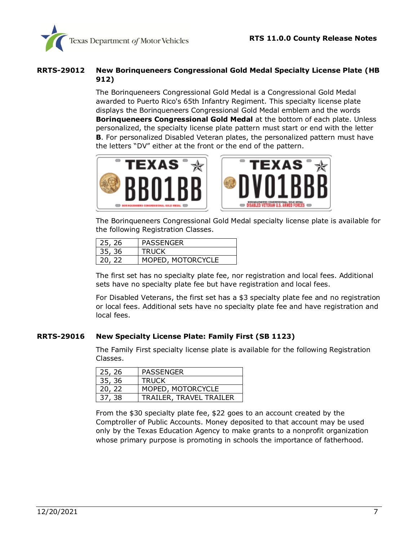

#### <span id="page-6-0"></span>**RRTS-29012 New Borinqueneers Congressional Gold Medal Specialty License Plate (HB 912)**

The Borinqueneers Congressional Gold Medal is a Congressional Gold Medal awarded to Puerto Rico's 65th Infantry Regiment. This specialty license plate displays the Borinqueneers Congressional Gold Medal emblem and the words **Borinqueneers Congressional Gold Medal** at the bottom of each plate. Unless personalized, the specialty license plate pattern must start or end with the letter **B**. For personalized Disabled Veteran plates, the personalized pattern must have the letters "DV" either at the front or the end of the pattern.





The Borinqueneers Congressional Gold Medal specialty license plate is available for the following Registration Classes.

| 25, 26 | <b>PASSENGER</b>  |
|--------|-------------------|
| 35, 36 | <b>TRUCK</b>      |
| 20, 22 | MOPED, MOTORCYCLE |

The first set has no specialty plate fee, nor registration and local fees. Additional sets have no specialty plate fee but have registration and local fees.

For Disabled Veterans, the first set has a \$3 specialty plate fee and no registration or local fees. Additional sets have no specialty plate fee and have registration and local fees.

#### <span id="page-6-1"></span>**[RRTS-29016](https://jira.txdmv.gov/browse/RRTS-29016) New Specialty License Plate: Family First (SB 1123)**

The Family First specialty license plate is available for the following Registration Classes.

| 25, 26 | PASSENGER               |
|--------|-------------------------|
| 35, 36 | <b>TRUCK</b>            |
| 20, 22 | MOPED, MOTORCYCLE       |
| 37, 38 | TRAILER, TRAVEL TRAILER |

From the \$30 specialty plate fee, \$22 goes to an account created by the Comptroller of Public Accounts. Money deposited to that account may be used only by the Texas Education Agency to make grants to a nonprofit organization whose primary purpose is promoting in schools the importance of fatherhood.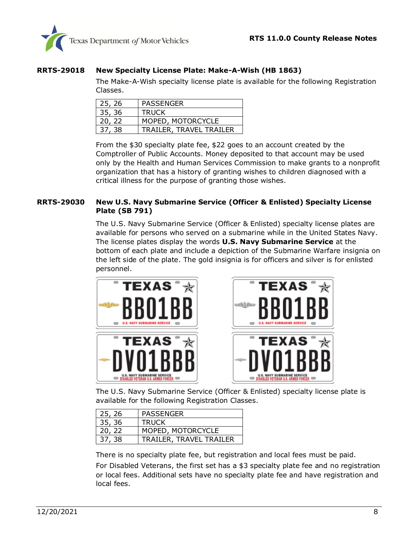

### <span id="page-7-0"></span>**[RRTS-29018](https://jira.txdmv.gov/browse/RRTS-29018) New Specialty License Plate: Make-A-Wish (HB 1863)**

The Make-A-Wish specialty license plate is available for the following Registration Classes.

| 25, 26 | PASSENGER               |
|--------|-------------------------|
| 35, 36 | <b>TRUCK</b>            |
| 20, 22 | MOPED, MOTORCYCLE       |
| 37, 38 | TRAILER, TRAVEL TRAILER |

From the \$30 specialty plate fee, \$22 goes to an account created by the Comptroller of Public Accounts. Money deposited to that account may be used only by the Health and Human Services Commission to make grants to a nonprofit organization that has a history of granting wishes to children diagnosed with a critical illness for the purpose of granting those wishes.

### <span id="page-7-1"></span>**[RRTS-29030](https://jira.txdmv.gov/browse/RRTS-29030) New U.S. Navy Submarine Service (Officer & Enlisted) Specialty License Plate (SB 791)**

The U.S. Navy Submarine Service (Officer & Enlisted) specialty license plates are available for persons who served on a submarine while in the United States Navy. The license plates display the words **U.S. Navy Submarine Service** at the bottom of each plate and include a depiction of the Submarine Warfare insignia on the left side of the plate. The gold insignia is for officers and silver is for enlisted personnel.





The U.S. Navy Submarine Service (Officer & Enlisted) specialty license plate is available for the following Registration Classes.

| 25, 26 | PASSENGER               |
|--------|-------------------------|
| 35, 36 | <b>TRUCK</b>            |
| 20, 22 | MOPED, MOTORCYCLE       |
| 37, 38 | TRAILER, TRAVEL TRAILER |

There is no specialty plate fee, but registration and local fees must be paid.

For Disabled Veterans, the first set has a \$3 specialty plate fee and no registration or local fees. Additional sets have no specialty plate fee and have registration and local fees.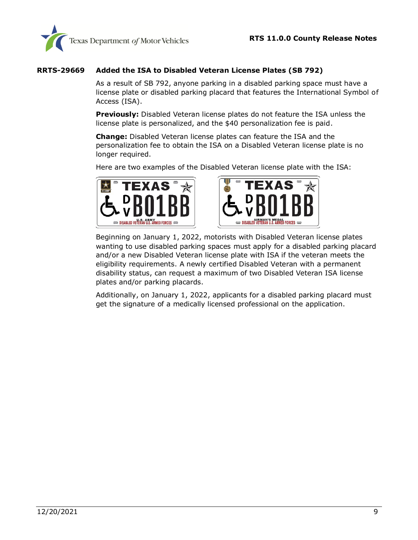

### <span id="page-8-0"></span>**[RRTS-29669](https://jira.txdmv.gov/browse/RRTS-29669) Added the ISA to Disabled Veteran License Plates (SB 792)**

As a result of SB 792, anyone parking in a disabled parking space must have a license plate or disabled parking placard that features the International Symbol of Access (ISA).

**Previously:** Disabled Veteran license plates do not feature the ISA unless the license plate is personalized, and the \$40 personalization fee is paid.

**Change:** Disabled Veteran license plates can feature the ISA and the personalization fee to obtain the ISA on a Disabled Veteran license plate is no longer required.

Here are two examples of the Disabled Veteran license plate with the ISA:





Beginning on January 1, 2022, motorists with Disabled Veteran license plates wanting to use disabled parking spaces must apply for a disabled parking placard and/or a new Disabled Veteran license plate with ISA if the veteran meets the eligibility requirements. A newly certified Disabled Veteran with a permanent disability status, can request a maximum of two Disabled Veteran ISA license plates and/or parking placards.

Additionally, on January 1, 2022, applicants for a disabled parking placard must get the signature of a medically licensed professional on the application.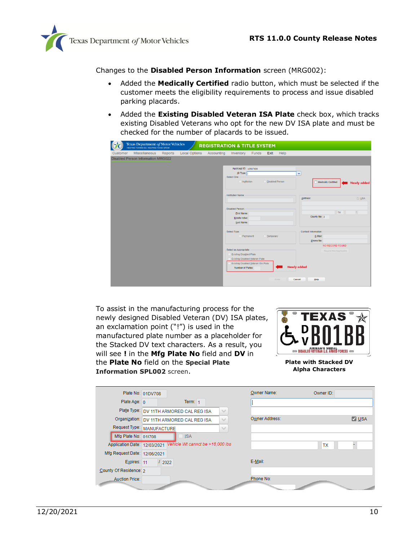

Changes to the **Disabled Person Information** screen (MRG002):

- Added the **Medically Certified** radio button, which must be selected if the customer meets the eligibility requirements to process and issue disabled parking placards.
- Added the **Existing Disabled Veteran ISA Plate** check box, which tracks existing Disabled Veterans who opt for the new DV ISA plate and must be checked for the number of placards to be issued.

| Texas Department of Motor Vehicles<br>HELPING TEXANS GO. HELPING TEXAS GROW.<br><b>REGISTRATION &amp; TITLE SYSTEM</b> |                                                                     |
|------------------------------------------------------------------------------------------------------------------------|---------------------------------------------------------------------|
| <b>Local Options</b><br>Accounting<br>Miscellaneous<br><b>Inventory</b> Funds<br>Customer<br>Reports                   | Exit<br>Help                                                        |
| <b>Disabled Person Information MRG022</b>                                                                              |                                                                     |
|                                                                                                                        |                                                                     |
| Applicant ID: 32587400                                                                                                 |                                                                     |
| ID Type:<br>Select One:                                                                                                | ×                                                                   |
| <b>O</b> Institution                                                                                                   | <b>Disabled Person</b><br>Medically Certified<br><b>Newly added</b> |
|                                                                                                                        |                                                                     |
| Institution Name:                                                                                                      |                                                                     |
|                                                                                                                        | Address:<br><b>USA</b>                                              |
|                                                                                                                        |                                                                     |
| <b>Disabled Person:</b><br>First Name:                                                                                 | ÷.<br><b>TX</b>                                                     |
| Middle Initial:                                                                                                        | County No: 2                                                        |
| Last Name:                                                                                                             |                                                                     |
|                                                                                                                        |                                                                     |
| Select Type:<br>Permanent                                                                                              | <b>Contact Information:</b><br><b>Temporary</b><br>E-Mail:          |
|                                                                                                                        | Phone No:                                                           |
|                                                                                                                        | NO RECORD FOUND                                                     |
| Select as Appropriate:                                                                                                 | Regord Not Applicable                                               |
| <b>Existing Disabled Plate</b>                                                                                         |                                                                     |
| Existing Disabled Veteran Plate                                                                                        | Existing Disabled Veteran ISA Plate                                 |
| Number of Plates:                                                                                                      | <b>Newly added</b>                                                  |
|                                                                                                                        |                                                                     |
|                                                                                                                        | Enter<br>Cancel<br>Help                                             |

To assist in the manufacturing process for the newly designed Disabled Veteran (DV) ISA plates, an exclamation point ("!") is used in the manufactured plate number as a placeholder for the Stacked DV text characters. As a result, you will see **!** in the **Mfg Plate No** field and **DV** in the **Plate No** field on the **Special Plate Information SPL002** screen.



**Plate with Stacked DV Alpha Characters**

|                              | Plate No: 01DV708                                         | Owner Name:<br>Owner ID:       |
|------------------------------|-----------------------------------------------------------|--------------------------------|
| Plate Age: 0                 | Term: $1$                                                 |                                |
|                              | Plate Type: DV 11TH ARMORED CAL REG ISA<br>$\checkmark$   |                                |
|                              | Organization: DV 11TH ARMORED CAL REG ISA<br>$\checkmark$ | Owner Address:<br>$\nabla$ USA |
|                              | Request Type: MANUFACTURE<br>$\checkmark$                 |                                |
| Mfg Plate No: 01!708         | <b>ISA</b>                                                |                                |
| Application Date: 12/03/2021 | Vehicle Wt cannot be >18,000 lbs                          | <b>TX</b>                      |
| Mfg Request Date: 12/06/2021 |                                                           |                                |
| Expires: 11                  | 12022                                                     | E-Mail:                        |
| County Of Residence: 2       |                                                           |                                |
| <b>Auction Price:</b>        |                                                           | Phone No:                      |
|                              |                                                           |                                |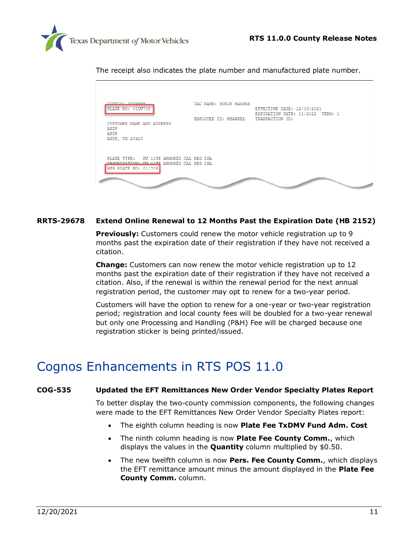

The receipt also indicates the plate number and manufactured plate number.

| COUNTY, ANDRER<br>PLATE NO: 01DV708                                                   | TAC NAME: ROBIN HARPER | EFFECTIVE DATE: 12/03/2021                          |
|---------------------------------------------------------------------------------------|------------------------|-----------------------------------------------------|
| CUSTOMER NAME AND ADDRESS<br>ASDF<br>ASDF<br>ASDF, TX 23423                           | EMPLOYEE ID: KHARREL   | EXPIRATION DATE: 11/2022 TERM: 1<br>TRANSACTION ID: |
| PLATE TYPE: DV 11TH ARMORED CAL REG ISA<br>ORGANIZATION - BV 11TH ARMORED CAL REG ISA |                        |                                                     |
| MFG PLATE NO: 01!708                                                                  |                        |                                                     |

#### <span id="page-10-1"></span>**[RRTS-29678](https://jira.txdmv.gov/browse/RRTS-29678) Extend Online Renewal to 12 Months Past the Expiration Date (HB 2152)**

**Previously:** Customers could renew the motor vehicle registration up to 9 months past the expiration date of their registration if they have not received a citation.

**Change:** Customers can now renew the motor vehicle registration up to 12 months past the expiration date of their registration if they have not received a citation. Also, if the renewal is within the renewal period for the next annual registration period, the customer may opt to renew for a two-year period.

Customers will have the option to renew for a one-year or two-year registration period; registration and local county fees will be doubled for a two-year renewal but only one Processing and Handling (P&H) Fee will be charged because one registration sticker is being printed/issued.

### <span id="page-10-0"></span>Cognos Enhancements in RTS POS 11.0

#### <span id="page-10-2"></span>**[COG-535](https://jira.txdmv.gov/browse/COG-535) Updated the EFT Remittances New Order Vendor Specialty Plates Report**

To better display the two-county commission components, the following changes were made to the EFT Remittances New Order Vendor Specialty Plates report:

- The eighth column heading is now **Plate Fee TxDMV Fund Adm. Cost**
- The ninth column heading is now **Plate Fee County Comm.**, which displays the values in the **Quantity** column multiplied by \$0.50.
- The new twelfth column is now **Pers. Fee County Comm.**, which displays the EFT remittance amount minus the amount displayed in the **Plate Fee County Comm.** column.